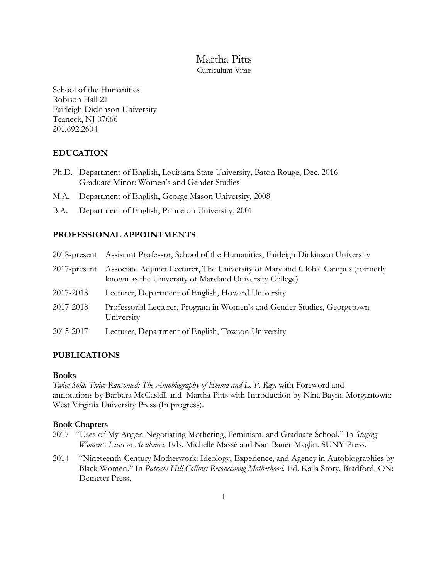# Martha Pitts

Curriculum Vitae

School of the Humanities Robison Hall 21 Fairleigh Dickinson University Teaneck, NJ 07666 201.692.2604

## **EDUCATION**

- Ph.D. Department of English, Louisiana State University, Baton Rouge, Dec. 2016 Graduate Minor: Women's and Gender Studies
- M.A. Department of English, George Mason University, 2008
- B.A. Department of English, Princeton University, 2001

## **PROFESSIONAL APPOINTMENTS**

|           | 2018-present Assistant Professor, School of the Humanities, Fairleigh Dickinson University                                                             |
|-----------|--------------------------------------------------------------------------------------------------------------------------------------------------------|
|           | 2017-present Associate Adjunct Lecturer, The University of Maryland Global Campus (formerly<br>known as the University of Maryland University College) |
| 2017-2018 | Lecturer, Department of English, Howard University                                                                                                     |
| 2017-2018 | Professorial Lecturer, Program in Women's and Gender Studies, Georgetown<br>University                                                                 |
| 2015-2017 | Lecturer, Department of English, Towson University                                                                                                     |

## **PUBLICATIONS**

## **Books**

*Twice Sold, Twice Ransomed: The Autobiography of Emma and L. P. Ray,* with Foreword and annotations by Barbara McCaskill and Martha Pitts with Introduction by Nina Baym. Morgantown: West Virginia University Press (In progress).

## **Book Chapters**

- 2017 "Uses of My Anger: Negotiating Mothering, Feminism, and Graduate School." In *Staging Women's Lives in Academia.* Eds. Michelle Massé and Nan Bauer-Maglin. SUNY Press.
- 2014 "Nineteenth-Century Motherwork: Ideology, Experience, and Agency in Autobiographies by Black Women." In *Patricia Hill Collins: Reconceiving Motherhood*. Ed. Kaila Story. Bradford, ON: Demeter Press.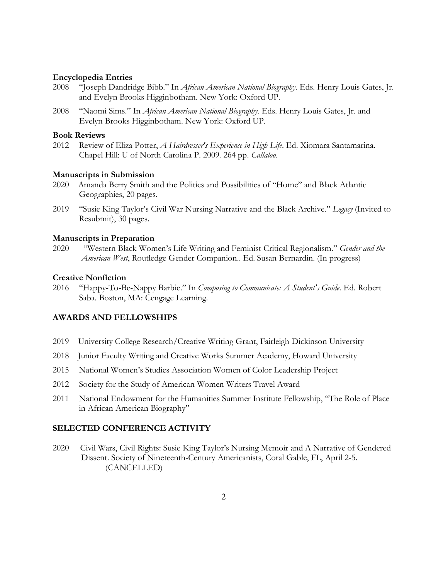#### **Encyclopedia Entries**

- 2008 "Joseph Dandridge Bibb." In *African American National Biography*. Eds. Henry Louis Gates, Jr. and Evelyn Brooks Higginbotham. New York: Oxford UP.
- 2008 "Naomi Sims." In *African American National Biography.* Eds. Henry Louis Gates, Jr. and Evelyn Brooks Higginbotham. New York: Oxford UP.

#### **Book Reviews**

2012 Review of Eliza Potter, *A Hairdresser's Experience in High Life*. Ed. Xiomara Santamarina. Chapel Hill: U of North Carolina P. 2009. 264 pp. *Callaloo*.

#### **Manuscripts in Submission**

- 2020 Amanda Berry Smith and the Politics and Possibilities of "Home" and Black Atlantic Geographies, 20 pages.
- 2019 "Susie King Taylor's Civil War Nursing Narrative and the Black Archive." *Legacy* (Invited to Resubmit), 30 pages.

#### **Manuscripts in Preparation**

2020 "Western Black Women's Life Writing and Feminist Critical Regionalism." *Gender and the American West*, Routledge Gender Companion.. Ed. Susan Bernardin. (In progress)

#### **Creative Nonfiction**

2016 "Happy-To-Be-Nappy Barbie." In *Composing to Communicate: A Student's Guide*. Ed. Robert Saba. Boston, MA: Cengage Learning.

### **AWARDS AND FELLOWSHIPS**

- 2019 University College Research/Creative Writing Grant, Fairleigh Dickinson University
- 2018 Junior Faculty Writing and Creative Works Summer Academy, Howard University
- 2015 National Women's Studies Association Women of Color Leadership Project
- 2012 Society for the Study of American Women Writers Travel Award
- 2011 National Endowment for the Humanities Summer Institute Fellowship, "The Role of Place in African American Biography"

#### **SELECTED CONFERENCE ACTIVITY**

2020 Civil Wars, Civil Rights: Susie King Taylor's Nursing Memoir and A Narrative of Gendered Dissent. Society of Nineteenth-Century Americanists, Coral Gable, FL, April 2-5. (CANCELLED)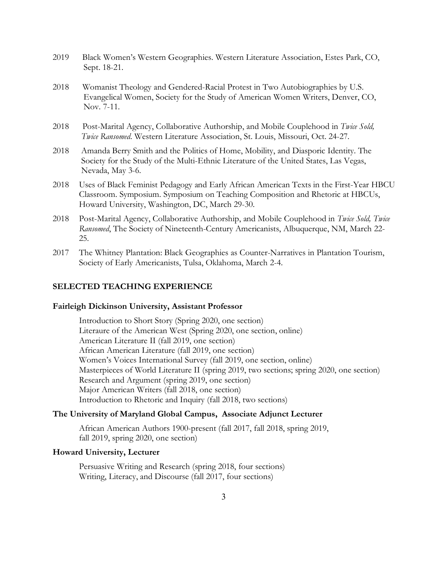- 2019 Black Women's Western Geographies. Western Literature Association, Estes Park, CO, Sept. 18-21.
- 2018 Womanist Theology and Gendered-Racial Protest in Two Autobiographies by U.S. Evangelical Women, Society for the Study of American Women Writers, Denver, CO, Nov. 7-11.
- 2018 Post-Marital Agency, Collaborative Authorship, and Mobile Couplehood in *Twice Sold, Twice Ransomed*. Western Literature Association, St. Louis, Missouri, Oct. 24-27.
- 2018 Amanda Berry Smith and the Politics of Home, Mobility, and Diasporic Identity. The Society for the Study of the Multi-Ethnic Literature of the United States, Las Vegas, Nevada, May 3-6.
- 2018 Uses of Black Feminist Pedagogy and Early African American Texts in the First-Year HBCU Classroom. Symposium. Symposium on Teaching Composition and Rhetoric at HBCUs, Howard University, Washington, DC, March 29-30.
- 2018 Post-Marital Agency, Collaborative Authorship, and Mobile Couplehood in *Twice Sold, Twice Ransomed*, The Society of Nineteenth-Century Americanists, Albuquerque, NM, March 22- 25.
- 2017 The Whitney Plantation: Black Geographies as Counter-Narratives in Plantation Tourism, Society of Early Americanists, Tulsa, Oklahoma, March 2-4.

## **SELECTED TEACHING EXPERIENCE**

#### **Fairleigh Dickinson University, Assistant Professor**

Introduction to Short Story (Spring 2020, one section) Literaure of the American West (Spring 2020, one section, online) American Literature II (fall 2019, one section) African American Literature (fall 2019, one section) Women's Voices International Survey (fall 2019, one section, online) Masterpieces of World Literature II (spring 2019, two sections; spring 2020, one section) Research and Argument (spring 2019, one section) Major American Writers (fall 2018, one section) Introduction to Rhetoric and Inquiry (fall 2018, two sections)

## **The University of Maryland Global Campus, Associate Adjunct Lecturer**

African American Authors 1900-present (fall 2017, fall 2018, spring 2019, fall 2019, spring 2020, one section)

## **Howard University, Lecturer**

Persuasive Writing and Research (spring 2018, four sections) Writing, Literacy, and Discourse (fall 2017, four sections)